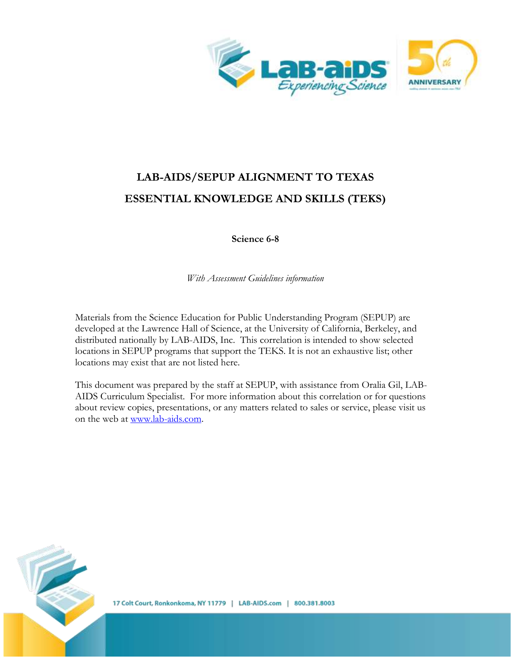

# **LAB-AIDS/SEPUP ALIGNMENT TO TEXAS ESSENTIAL KNOWLEDGE AND SKILLS (TEKS)**

**Science 6-8**

*With Assessment Guidelines information*

Materials from the Science Education for Public Understanding Program (SEPUP) are developed at the Lawrence Hall of Science, at the University of California, Berkeley, and distributed nationally by LAB-AIDS, Inc. This correlation is intended to show selected locations in SEPUP programs that support the TEKS. It is not an exhaustive list; other locations may exist that are not listed here.

This document was prepared by the staff at SEPUP, with assistance from Oralia Gil, LAB-AIDS Curriculum Specialist. For more information about this correlation or for questions about review copies, presentations, or any matters related to sales or service, please visit us on the web at [www.lab-aids.com.](http://www.lab-aids.com/)

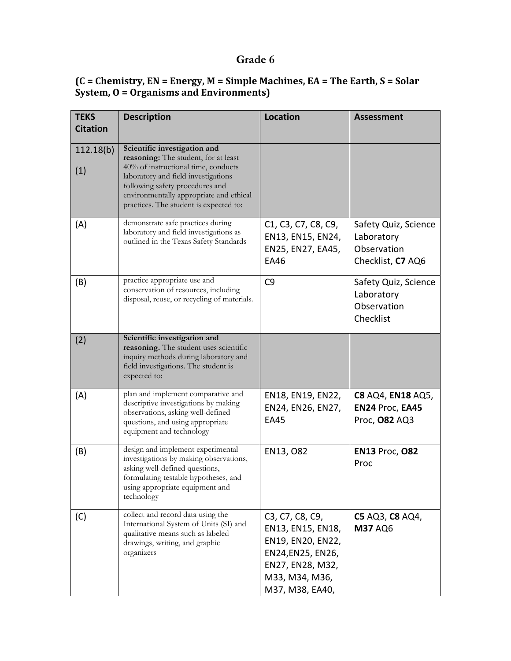## **Grade 6**

#### **(C = Chemistry, EN = Energy, M = Simple Machines, EA = The Earth, S = Solar System, O = Organisms and Environments)**

| <b>TEKS</b><br><b>Citation</b> | <b>Description</b>                                                                                                                                                                                     | <b>Location</b>                                                                                                                               | <b>Assessment</b>                                                      |
|--------------------------------|--------------------------------------------------------------------------------------------------------------------------------------------------------------------------------------------------------|-----------------------------------------------------------------------------------------------------------------------------------------------|------------------------------------------------------------------------|
|                                |                                                                                                                                                                                                        |                                                                                                                                               |                                                                        |
| 112.18(b)                      | Scientific investigation and<br>reasoning: The student, for at least                                                                                                                                   |                                                                                                                                               |                                                                        |
| (1)                            | 40% of instructional time, conducts<br>laboratory and field investigations<br>following safety procedures and<br>environmentally appropriate and ethical<br>practices. The student is expected to:     |                                                                                                                                               |                                                                        |
| (A)                            | demonstrate safe practices during<br>laboratory and field investigations as<br>outlined in the Texas Safety Standards                                                                                  | C <sub>1</sub> , C <sub>3</sub> , C <sub>7</sub> , C <sub>8</sub> , C <sub>9</sub> ,<br>EN13, EN15, EN24,<br>EN25, EN27, EA45,<br><b>EA46</b> | Safety Quiz, Science<br>Laboratory<br>Observation<br>Checklist, C7 AQ6 |
| (B)                            | practice appropriate use and<br>conservation of resources, including<br>disposal, reuse, or recycling of materials.                                                                                    | C9                                                                                                                                            | Safety Quiz, Science<br>Laboratory<br>Observation<br>Checklist         |
| (2)                            | Scientific investigation and<br>reasoning. The student uses scientific<br>inquiry methods during laboratory and<br>field investigations. The student is<br>expected to:                                |                                                                                                                                               |                                                                        |
| (A)                            | plan and implement comparative and<br>descriptive investigations by making<br>observations, asking well-defined<br>questions, and using appropriate<br>equipment and technology                        | EN18, EN19, EN22,<br>EN24, EN26, EN27,<br><b>EA45</b>                                                                                         | <b>C8 AQ4, EN18 AQ5,</b><br>EN24 Proc, EA45<br>Proc, 082 AQ3           |
| (B)                            | design and implement experimental<br>investigations by making observations,<br>asking well-defined questions,<br>formulating testable hypotheses, and<br>using appropriate equipment and<br>technology | EN13, O82                                                                                                                                     | <b>EN13 Proc, 082</b><br>Proc                                          |
| (C)                            | collect and record data using the<br>International System of Units (SI) and<br>qualitative means such as labeled<br>drawings, writing, and graphic<br>organizers                                       | C3, C7, C8, C9,<br>EN13, EN15, EN18,<br>EN19, EN20, EN22,<br>EN24, EN25, EN26,<br>EN27, EN28, M32,<br>M33, M34, M36,<br>M37, M38, EA40,       | C5 AQ3, C8 AQ4,<br><b>M37 AQ6</b>                                      |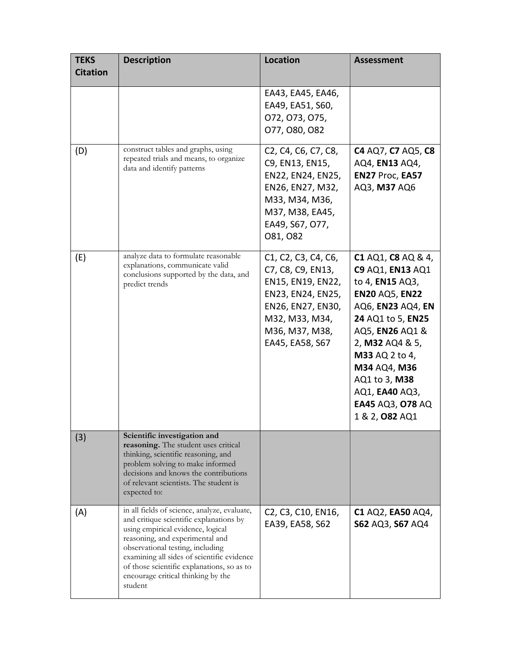| <b>TEKS</b><br><b>Citation</b> | <b>Description</b>                                                                                                                                                                                                                                                                                                                               | <b>Location</b>                                                                                                                                                                                                      | <b>Assessment</b>                                                                                                                                                                                                                                                             |
|--------------------------------|--------------------------------------------------------------------------------------------------------------------------------------------------------------------------------------------------------------------------------------------------------------------------------------------------------------------------------------------------|----------------------------------------------------------------------------------------------------------------------------------------------------------------------------------------------------------------------|-------------------------------------------------------------------------------------------------------------------------------------------------------------------------------------------------------------------------------------------------------------------------------|
|                                |                                                                                                                                                                                                                                                                                                                                                  | EA43, EA45, EA46,<br>EA49, EA51, S60,<br>072, 073, 075,<br>077, 080, 082                                                                                                                                             |                                                                                                                                                                                                                                                                               |
| (D)                            | construct tables and graphs, using<br>repeated trials and means, to organize<br>data and identify patterns                                                                                                                                                                                                                                       | C <sub>2</sub> , C <sub>4</sub> , C <sub>6</sub> , C <sub>7</sub> , C <sub>8</sub> ,<br>C9, EN13, EN15,<br>EN22, EN24, EN25,<br>EN26, EN27, M32,<br>M33, M34, M36,<br>M37, M38, EA45,<br>EA49, S67, O77,<br>081, 082 | C4 AQ7, C7 AQ5, C8<br>AQ4, EN13 AQ4,<br>EN27 Proc, EA57<br>AQ3, M37 AQ6                                                                                                                                                                                                       |
| (E)                            | analyze data to formulate reasonable<br>explanations, communicate valid<br>conclusions supported by the data, and<br>predict trends                                                                                                                                                                                                              | C1, C2, C3, C4, C6,<br>C7, C8, C9, EN13,<br>EN15, EN19, EN22,<br>EN23, EN24, EN25,<br>EN26, EN27, EN30,<br>M32, M33, M34,<br>M36, M37, M38,<br>EA45, EA58, S67                                                       | C1 AQ1, C8 AQ & 4,<br>C9 AQ1, EN13 AQ1<br>to 4, EN15 AQ3,<br><b>EN20 AQ5, EN22</b><br>AQ6, EN23 AQ4, EN<br>24 AQ1 to 5, EN25<br>AQ5, EN26 AQ1 &<br>2, M32 AQ4 & 5,<br>M33 AQ 2 to 4,<br>M34 AQ4, M36<br>AQ1 to 3, M38<br>AQ1, EA40 AQ3,<br>EA45 AQ3, 078 AQ<br>1 & 2, 082 AQ1 |
| (3)                            | Scientific investigation and<br>reasoning. The student uses critical<br>thinking, scientific reasoning, and<br>problem solving to make informed<br>decisions and knows the contributions<br>of relevant scientists. The student is<br>expected to:                                                                                               |                                                                                                                                                                                                                      |                                                                                                                                                                                                                                                                               |
| (A)                            | in all fields of science, analyze, evaluate,<br>and critique scientific explanations by<br>using empirical evidence, logical<br>reasoning, and experimental and<br>observational testing, including<br>examining all sides of scientific evidence<br>of those scientific explanations, so as to<br>encourage critical thinking by the<br>student | C <sub>2</sub> , C <sub>3</sub> , C <sub>10</sub> , EN <sub>16</sub> ,<br>EA39, EA58, S62                                                                                                                            | C1 AQ2, EA50 AQ4,<br>S62 AQ3, S67 AQ4                                                                                                                                                                                                                                         |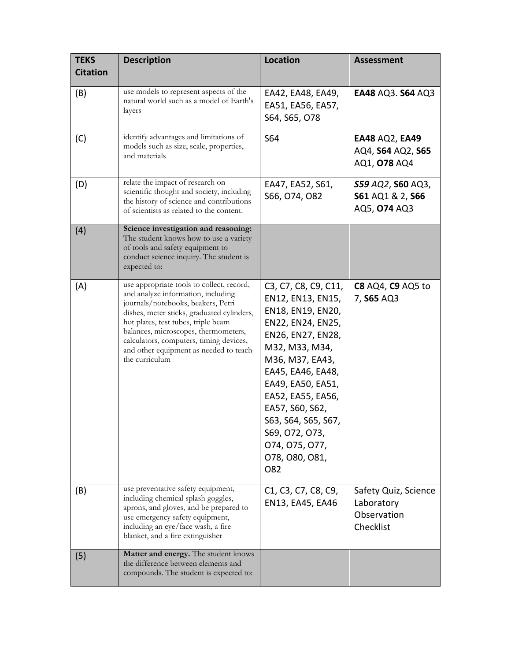| <b>TEKS</b><br><b>Citation</b> | <b>Description</b>                                                                                                                                                                                                                                                                                                                                        | <b>Location</b>                                                                                                                                                                                                                                                                                                     | <b>Assessment</b>                                              |
|--------------------------------|-----------------------------------------------------------------------------------------------------------------------------------------------------------------------------------------------------------------------------------------------------------------------------------------------------------------------------------------------------------|---------------------------------------------------------------------------------------------------------------------------------------------------------------------------------------------------------------------------------------------------------------------------------------------------------------------|----------------------------------------------------------------|
| (B)                            | use models to represent aspects of the<br>natural world such as a model of Earth's<br>layers                                                                                                                                                                                                                                                              | EA42, EA48, EA49,<br>EA51, EA56, EA57,<br>S64, S65, O78                                                                                                                                                                                                                                                             | EA48 AQ3. S64 AQ3                                              |
| (C)                            | identify advantages and limitations of<br>models such as size, scale, properties,<br>and materials                                                                                                                                                                                                                                                        | S64                                                                                                                                                                                                                                                                                                                 | <b>EA48 AQ2, EA49</b><br>AQ4, S64 AQ2, S65<br>AQ1, 078 AQ4     |
| (D)                            | relate the impact of research on<br>scientific thought and society, including<br>the history of science and contributions<br>of scientists as related to the content.                                                                                                                                                                                     | EA47, EA52, S61,<br>S66, O74, O82                                                                                                                                                                                                                                                                                   | S59 AQ2, S60 AQ3,<br>S61 AQ1 & 2, S66<br>AQ5, 074 AQ3          |
| (4)                            | Science investigation and reasoning:<br>The student knows how to use a variety<br>of tools and safety equipment to<br>conduct science inquiry. The student is<br>expected to:                                                                                                                                                                             |                                                                                                                                                                                                                                                                                                                     |                                                                |
| (A)                            | use appropriate tools to collect, record,<br>and analyze information, including<br>journals/notebooks, beakers, Petri<br>dishes, meter sticks, graduated cylinders,<br>hot plates, test tubes, triple beam<br>balances, microscopes, thermometers,<br>calculators, computers, timing devices,<br>and other equipment as needed to teach<br>the curriculum | C3, C7, C8, C9, C11,<br>EN12, EN13, EN15,<br>EN18, EN19, EN20,<br>EN22, EN24, EN25,<br>EN26, EN27, EN28,<br>M32, M33, M34,<br>M36, M37, EA43,<br>EA45, EA46, EA48,<br>EA49, EA50, EA51,<br>EA52, EA55, EA56,<br>EA57, S60, S62,<br>S63, S64, S65, S67,<br>S69, O72, O73,<br>074, 075, 077,<br>078, 080, 081,<br>O82 | <b>C8</b> AQ4, <b>C9</b> AQ5 to<br>7, S65 AQ3                  |
| (B)                            | use preventative safety equipment,<br>including chemical splash goggles,<br>aprons, and gloves, and be prepared to<br>use emergency safety equipment,<br>including an eye/face wash, a fire<br>blanket, and a fire extinguisher                                                                                                                           | C <sub>1</sub> , C <sub>3</sub> , C <sub>7</sub> , C <sub>8</sub> , C <sub>9</sub> ,<br>EN13, EA45, EA46                                                                                                                                                                                                            | Safety Quiz, Science<br>Laboratory<br>Observation<br>Checklist |
| (5)                            | Matter and energy. The student knows<br>the difference between elements and<br>compounds. The student is expected to:                                                                                                                                                                                                                                     |                                                                                                                                                                                                                                                                                                                     |                                                                |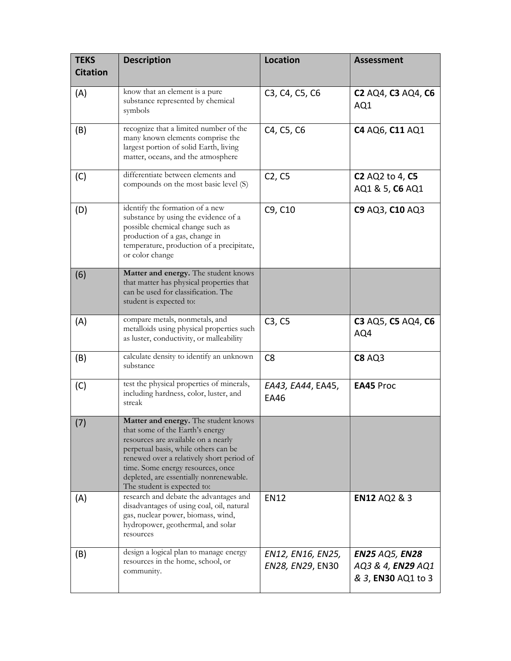| <b>TEKS</b><br><b>Citation</b> | <b>Description</b>                                                                                                                                                                                                                                                                                                 | <b>Location</b>                       | <b>Assessment</b>                                                       |
|--------------------------------|--------------------------------------------------------------------------------------------------------------------------------------------------------------------------------------------------------------------------------------------------------------------------------------------------------------------|---------------------------------------|-------------------------------------------------------------------------|
| (A)                            | know that an element is a pure<br>substance represented by chemical<br>symbols                                                                                                                                                                                                                                     | C3, C4, C5, C6                        | <b>C2 AQ4, C3 AQ4, C6</b><br>AQ1                                        |
| (B)                            | recognize that a limited number of the<br>many known elements comprise the<br>largest portion of solid Earth, living<br>matter, oceans, and the atmosphere                                                                                                                                                         | C4, C5, C6                            | C4 AQ6, C11 AQ1                                                         |
| (C)                            | differentiate between elements and<br>compounds on the most basic level (S)                                                                                                                                                                                                                                        | C <sub>2</sub> , C <sub>5</sub>       | <b>C2</b> AQ2 to 4, <b>C5</b><br>AQ1 & 5, C6 AQ1                        |
| (D)                            | identify the formation of a new<br>substance by using the evidence of a<br>possible chemical change such as<br>production of a gas, change in<br>temperature, production of a precipitate,<br>or color change                                                                                                      | C9, C10                               | C9 AQ3, C10 AQ3                                                         |
| (6)                            | Matter and energy. The student knows<br>that matter has physical properties that<br>can be used for classification. The<br>student is expected to:                                                                                                                                                                 |                                       |                                                                         |
| (A)                            | compare metals, nonmetals, and<br>metalloids using physical properties such<br>as luster, conductivity, or malleability                                                                                                                                                                                            | C3, C5                                | C3 AQ5, C5 AQ4, C6<br>AQ4                                               |
| (B)                            | calculate density to identify an unknown<br>substance                                                                                                                                                                                                                                                              | C <sub>8</sub>                        | <b>C8 AQ3</b>                                                           |
| (C)                            | test the physical properties of minerals,<br>including hardness, color, luster, and<br>streak                                                                                                                                                                                                                      | EA43, EA44, EA45,<br>EA46             | <b>EA45 Proc</b>                                                        |
| (7)                            | Matter and energy. The student knows<br>that some of the Earth's energy<br>resources are available on a nearly<br>perpetual basis, while others can be<br>renewed over a relatively short period of<br>time. Some energy resources, once<br>depleted, are essentially nonrenewable.<br>The student is expected to: |                                       |                                                                         |
| (A)                            | research and debate the advantages and<br>disadvantages of using coal, oil, natural<br>gas, nuclear power, biomass, wind,<br>hydropower, geothermal, and solar<br>resources                                                                                                                                        | <b>EN12</b>                           | <b>EN12 AQ2 &amp; 3</b>                                                 |
| (B)                            | design a logical plan to manage energy<br>resources in the home, school, or<br>community.                                                                                                                                                                                                                          | EN12, EN16, EN25,<br>EN28, EN29, EN30 | <b>EN25 AQ5, EN28</b><br>AQ3 & 4, EN29 AQ1<br>& 3, <b>EN30</b> AQ1 to 3 |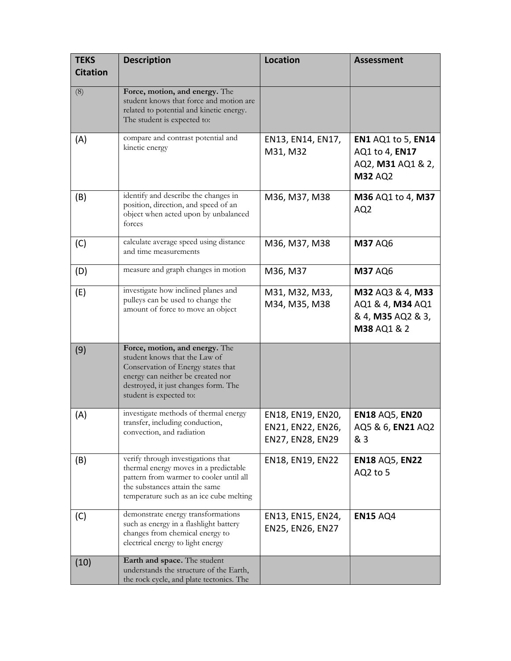| <b>TEKS</b>     | <b>Description</b>                                                                                                                                                                                            | <b>Location</b>                                            | <b>Assessment</b>                                                                  |
|-----------------|---------------------------------------------------------------------------------------------------------------------------------------------------------------------------------------------------------------|------------------------------------------------------------|------------------------------------------------------------------------------------|
| <b>Citation</b> |                                                                                                                                                                                                               |                                                            |                                                                                    |
| (8)             | Force, motion, and energy. The<br>student knows that force and motion are<br>related to potential and kinetic energy.<br>The student is expected to:                                                          |                                                            |                                                                                    |
| (A)             | compare and contrast potential and<br>kinetic energy                                                                                                                                                          | EN13, EN14, EN17,<br>M31, M32                              | <b>EN1 AQ1 to 5, EN14</b><br>AQ1 to 4, EN17<br>AQ2, M31 AQ1 & 2,<br><b>M32 AQ2</b> |
| (B)             | identify and describe the changes in<br>position, direction, and speed of an<br>object when acted upon by unbalanced<br>forces                                                                                | M36, M37, M38                                              | M36 AQ1 to 4, M37<br>AQ <sub>2</sub>                                               |
| (C)             | calculate average speed using distance<br>and time measurements                                                                                                                                               | M36, M37, M38                                              | <b>M37 AQ6</b>                                                                     |
| (D)             | measure and graph changes in motion                                                                                                                                                                           | M36, M37                                                   | <b>M37 AQ6</b>                                                                     |
| (E)             | investigate how inclined planes and<br>pulleys can be used to change the<br>amount of force to move an object                                                                                                 | M31, M32, M33,<br>M34, M35, M38                            | M32 AQ3 & 4, M33<br>AQ1 & 4, M34 AQ1<br>& 4, M35 AQ2 & 3,<br>M38 AQ1 & 2           |
| (9)             | Force, motion, and energy. The<br>student knows that the Law of<br>Conservation of Energy states that<br>energy can neither be created nor<br>destroyed, it just changes form. The<br>student is expected to: |                                                            |                                                                                    |
| (A)             | investigate methods of thermal energy<br>transfer, including conduction,<br>convection, and radiation                                                                                                         | EN18, EN19, EN20,<br>EN21, EN22, EN26,<br>EN27, EN28, EN29 | <b>EN18 AQ5, EN20</b><br>AQ5 & 6, EN21 AQ2<br>& 3                                  |
| (B)             | verify through investigations that<br>thermal energy moves in a predictable<br>pattern from warmer to cooler until all<br>the substances attain the same<br>temperature such as an ice cube melting           | EN18, EN19, EN22                                           | <b>EN18 AQ5, EN22</b><br>AQ2 to 5                                                  |
| (C)             | demonstrate energy transformations<br>such as energy in a flashlight battery<br>changes from chemical energy to<br>electrical energy to light energy                                                          | EN13, EN15, EN24,<br>EN25, EN26, EN27                      | <b>EN15 AQ4</b>                                                                    |
| (10)            | Earth and space. The student<br>understands the structure of the Earth,<br>the rock cycle, and plate tectonics. The                                                                                           |                                                            |                                                                                    |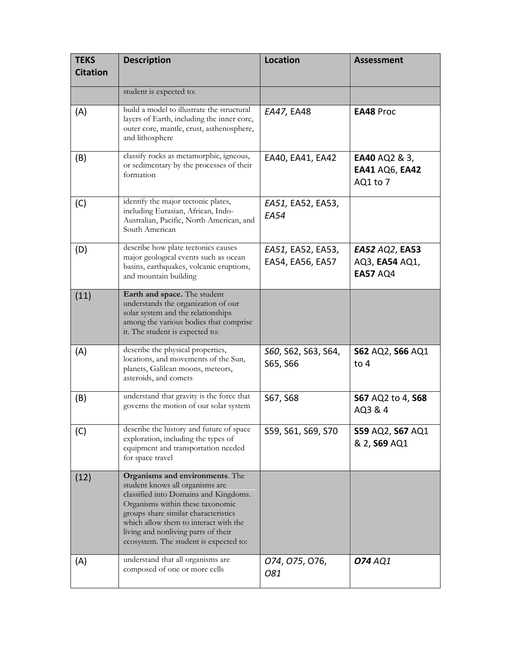| <b>TEKS</b><br><b>Citation</b> | <b>Description</b>                                                                                                                                                                                                                                                                                                | <b>Location</b>                       | <b>Assessment</b>                                          |
|--------------------------------|-------------------------------------------------------------------------------------------------------------------------------------------------------------------------------------------------------------------------------------------------------------------------------------------------------------------|---------------------------------------|------------------------------------------------------------|
|                                | student is expected to:                                                                                                                                                                                                                                                                                           |                                       |                                                            |
| (A)                            | build a model to illustrate the structural<br>layers of Earth, including the inner core,<br>outer core, mantle, crust, asthenosphere,<br>and lithosphere                                                                                                                                                          | EA47, EA48                            | <b>EA48 Proc</b>                                           |
| (B)                            | classify rocks as metamorphic, igneous,<br>or sedimentary by the processes of their<br>formation                                                                                                                                                                                                                  | EA40, EA41, EA42                      | <b>EA40 AQ2 &amp; 3,</b><br>EA41 AQ6, EA42<br>AQ1 to 7     |
| (C)                            | identify the major tectonic plates,<br>including Eurasian, African, Indo-<br>Australian, Pacific, North American, and<br>South American                                                                                                                                                                           | EA51, EA52, EA53,<br><b>EA54</b>      |                                                            |
| (D)                            | describe how plate tectonics causes<br>major geological events such as ocean<br>basins, earthquakes, volcanic eruptions,<br>and mountain building                                                                                                                                                                 | EA51, EA52, EA53,<br>EA54, EA56, EA57 | <b>EA52 AQ2, EA53</b><br>AQ3, EA54 AQ1,<br><b>EA57 AQ4</b> |
| (11)                           | Earth and space. The student<br>understands the organization of our<br>solar system and the relationships<br>among the various bodies that comprise<br>it. The student is expected to:                                                                                                                            |                                       |                                                            |
| (A)                            | describe the physical properties,<br>locations, and movements of the Sun,<br>planets, Galilean moons, meteors,<br>asteroids, and comets                                                                                                                                                                           | S60, S62, S63, S64,<br>S65, S66       | <b>S62 AQ2, S66 AQ1</b><br>to 4                            |
| (B)                            | understand that gravity is the force that<br>governs the motion of our solar system                                                                                                                                                                                                                               | S67, S68                              | S67 AQ2 to 4, S68<br>AQ3 & 4                               |
| (C)                            | describe the history and future of space<br>exploration, including the types of<br>equipment and transportation needed<br>for space travel                                                                                                                                                                        | S59, S61, S69, S70                    | S59 AQ2, S67 AQ1<br>& 2, S69 AQ1                           |
| (12)                           | Organisms and environments. The<br>student knows all organisms are<br>classified into Domains and Kingdoms.<br>Organisms within these taxonomic<br>groups share similar characteristics<br>which allow them to interact with the<br>living and nonliving parts of their<br>ecosystem. The student is expected to: |                                       |                                                            |
| (A)                            | understand that all organisms are<br>composed of one or more cells                                                                                                                                                                                                                                                | 074, 075, 076,<br>081                 | <b>074</b> AQ1                                             |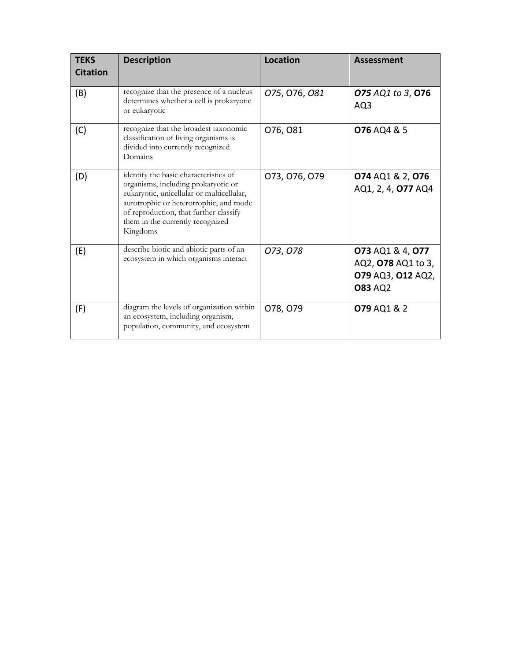| <b>TEKS</b><br><b>Citation</b> | <b>Description</b>                                                                                                                                                                                                                                            | Location      | <b>Assessment</b>                                                             |
|--------------------------------|---------------------------------------------------------------------------------------------------------------------------------------------------------------------------------------------------------------------------------------------------------------|---------------|-------------------------------------------------------------------------------|
| (B)                            | recognize that the presence of a nucleus<br>determines whether a cell is prokaryotic<br>or eukaryotic                                                                                                                                                         | 075, 076, 081 | 075 AQ1 to 3, 076<br>AQ3                                                      |
| (C)                            | recognize that the broadest taxonomic<br>classification of living organisms is<br>divided into currently recognized<br>Domains                                                                                                                                | 076, 081      | <b>076 AQ4 &amp; 5</b>                                                        |
| (D)                            | identify the basic characteristics of<br>organisms, including prokaryotic or<br>eukaryotic, unicellular or multicellular,<br>autotrophic or heterotrophic, and mode<br>of reproduction, that further classify<br>them in the currently recognized<br>Kingdoms | 073, 076, 079 | 074 AQ1 & 2, 076<br>AQ1, 2, 4, 077 AQ4                                        |
| (E)                            | describe biotic and abiotic parts of an<br>ecosystem in which organisms interact                                                                                                                                                                              | 073, 078      | 073 AQ1 & 4, 077<br>AQ2, 078 AQ1 to 3,<br>079 AQ3, 012 AQ2,<br><b>083 AQ2</b> |
| (F)                            | diagram the levels of organization within<br>an ecosystem, including organism,<br>population, community, and ecosystem                                                                                                                                        | 078, 079      | 079 AQ1 & 2                                                                   |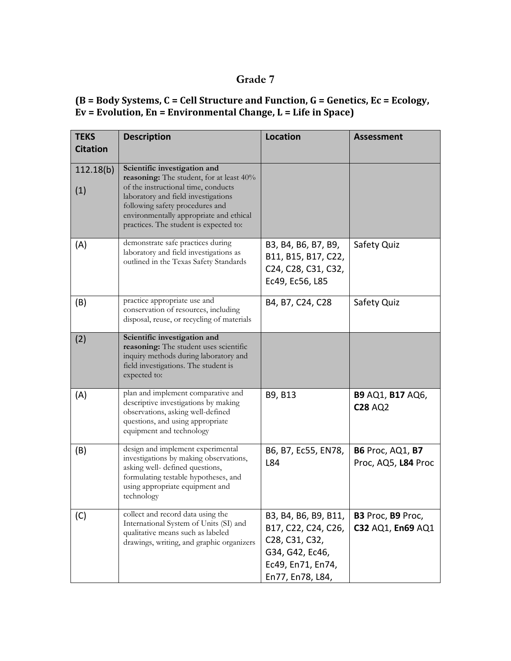### **Grade 7**

#### **(B = Body Systems, C = Cell Structure and Function, G = Genetics, Ec = Ecology, Ev = Evolution, En = Environmental Change, L = Life in Space)**

| <b>TEKS</b><br><b>Citation</b> | <b>Description</b>                                                                                                                                                                                                                                                             | <b>Location</b>                                                                                                           | <b>Assessment</b>                                     |
|--------------------------------|--------------------------------------------------------------------------------------------------------------------------------------------------------------------------------------------------------------------------------------------------------------------------------|---------------------------------------------------------------------------------------------------------------------------|-------------------------------------------------------|
| 112.18(b)<br>(1)               | Scientific investigation and<br>reasoning: The student, for at least 40%<br>of the instructional time, conducts<br>laboratory and field investigations<br>following safety procedures and<br>environmentally appropriate and ethical<br>practices. The student is expected to: |                                                                                                                           |                                                       |
| (A)                            | demonstrate safe practices during<br>laboratory and field investigations as<br>outlined in the Texas Safety Standards                                                                                                                                                          | B3, B4, B6, B7, B9,<br>B11, B15, B17, C22,<br>C24, C28, C31, C32,<br>Ec49, Ec56, L85                                      | Safety Quiz                                           |
| (B)                            | practice appropriate use and<br>conservation of resources, including<br>disposal, reuse, or recycling of materials                                                                                                                                                             | B4, B7, C24, C28                                                                                                          | Safety Quiz                                           |
| (2)                            | Scientific investigation and<br>reasoning: The student uses scientific<br>inquiry methods during laboratory and<br>field investigations. The student is<br>expected to:                                                                                                        |                                                                                                                           |                                                       |
| (A)                            | plan and implement comparative and<br>descriptive investigations by making<br>observations, asking well-defined<br>questions, and using appropriate<br>equipment and technology                                                                                                | B9, B13                                                                                                                   | <b>B9 AQ1, B17 AQ6,</b><br><b>C28 AQ2</b>             |
| (B)                            | design and implement experimental<br>investigations by making observations,<br>asking well- defined questions,<br>formulating testable hypotheses, and<br>using appropriate equipment and<br>technology                                                                        | B6, B7, Ec55, EN78,<br>L84                                                                                                | <b>B6</b> Proc, AQ1, <b>B7</b><br>Proc, AQ5, L84 Proc |
| (C)                            | collect and record data using the<br>International System of Units (SI) and<br>qualitative means such as labeled<br>drawings, writing, and graphic organizers                                                                                                                  | B3, B4, B6, B9, B11,<br>B17, C22, C24, C26,<br>C28, C31, C32,<br>G34, G42, Ec46,<br>Ec49, En71, En74,<br>En77, En78, L84, | B3 Proc, B9 Proc,<br>C32 AQ1, En69 AQ1                |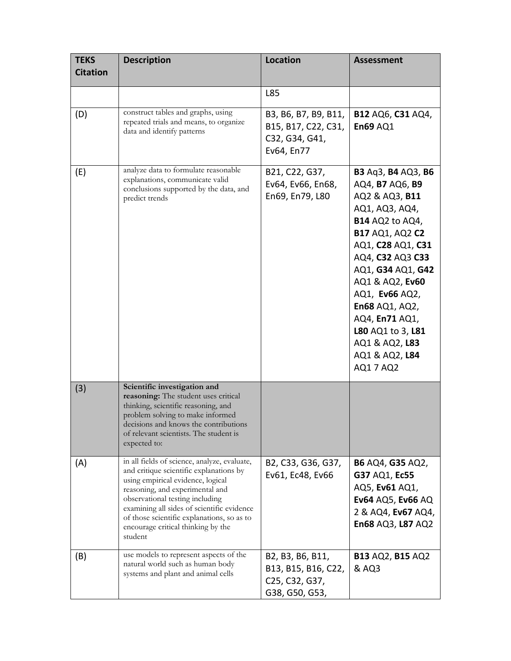| <b>TEKS</b><br><b>Citation</b> | <b>Description</b>                                                                                                                                                                                                                                                                                                                              | <b>Location</b>                                                             | <b>Assessment</b>                                                                                                                                                                                                                                                                                                                          |
|--------------------------------|-------------------------------------------------------------------------------------------------------------------------------------------------------------------------------------------------------------------------------------------------------------------------------------------------------------------------------------------------|-----------------------------------------------------------------------------|--------------------------------------------------------------------------------------------------------------------------------------------------------------------------------------------------------------------------------------------------------------------------------------------------------------------------------------------|
|                                |                                                                                                                                                                                                                                                                                                                                                 | L85                                                                         |                                                                                                                                                                                                                                                                                                                                            |
| (D)                            | construct tables and graphs, using<br>repeated trials and means, to organize<br>data and identify patterns                                                                                                                                                                                                                                      | B3, B6, B7, B9, B11,<br>B15, B17, C22, C31,<br>C32, G34, G41,<br>Ev64, En77 | <b>B12 AQ6, C31 AQ4,</b><br><b>En69 AQ1</b>                                                                                                                                                                                                                                                                                                |
| (E)                            | analyze data to formulate reasonable<br>explanations, communicate valid<br>conclusions supported by the data, and<br>predict trends                                                                                                                                                                                                             | B21, C22, G37,<br>Ev64, Ev66, En68,<br>En69, En79, L80                      | B3 Aq3, B4 AQ3, B6<br>AQ4, B7 AQ6, B9<br>AQ2 & AQ3, B11<br>AQ1, AQ3, AQ4,<br><b>B14 AQ2 to AQ4,</b><br><b>B17 AQ1, AQ2 C2</b><br>AQ1, C28 AQ1, C31<br>AQ4, C32 AQ3 C33<br>AQ1, G34 AQ1, G42<br>AQ1 & AQ2, Ev60<br>AQ1, Ev66 AQ2,<br>En68 AQ1, AQ2,<br>AQ4, En71 AQ1,<br>L80 AQ1 to 3, L81<br>AQ1 & AQ2, L83<br>AQ1 & AQ2, L84<br>AQ1 7 AQ2 |
| (3)                            | Scientific investigation and<br>reasoning: The student uses critical<br>thinking, scientific reasoning, and<br>problem solving to make informed<br>decisions and knows the contributions<br>of relevant scientists. The student is<br>expected to:                                                                                              |                                                                             |                                                                                                                                                                                                                                                                                                                                            |
| (A)                            | in all fields of science, analyze, evaluate,<br>and critique scientific explanations by<br>using empirical evidence, logical<br>reasoning, and experimental and<br>observational testing including<br>examining all sides of scientific evidence<br>of those scientific explanations, so as to<br>encourage critical thinking by the<br>student | B2, C33, G36, G37,<br>Ev61, Ec48, Ev66                                      | <b>B6 AQ4, G35 AQ2,</b><br>G37 AQ1, Ec55<br>AQ5, Ev61 AQ1,<br>Ev64 AQ5, Ev66 AQ<br>2 & AQ4, Ev67 AQ4,<br>En68 AQ3, L87 AQ2                                                                                                                                                                                                                 |
| (B)                            | use models to represent aspects of the<br>natural world such as human body<br>systems and plant and animal cells                                                                                                                                                                                                                                | B2, B3, B6, B11,<br>B13, B15, B16, C22,<br>C25, C32, G37,<br>G38, G50, G53, | <b>B13 AQ2, B15 AQ2</b><br>& AQ3                                                                                                                                                                                                                                                                                                           |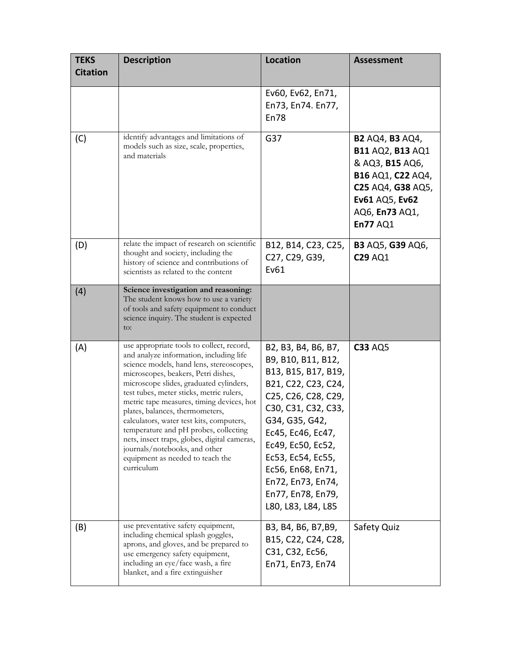| <b>TEKS</b><br><b>Citation</b> | <b>Description</b>                                                                                                                                                                                                                                                                                                                                                                                                                                                                                                                                                     | <b>Location</b>                                                                                                                                                                                                                                                                                             | <b>Assessment</b>                                                                                                                                                     |
|--------------------------------|------------------------------------------------------------------------------------------------------------------------------------------------------------------------------------------------------------------------------------------------------------------------------------------------------------------------------------------------------------------------------------------------------------------------------------------------------------------------------------------------------------------------------------------------------------------------|-------------------------------------------------------------------------------------------------------------------------------------------------------------------------------------------------------------------------------------------------------------------------------------------------------------|-----------------------------------------------------------------------------------------------------------------------------------------------------------------------|
|                                |                                                                                                                                                                                                                                                                                                                                                                                                                                                                                                                                                                        | Ev60, Ev62, En71,<br>En73, En74. En77,<br>En78                                                                                                                                                                                                                                                              |                                                                                                                                                                       |
| (C)                            | identify advantages and limitations of<br>models such as size, scale, properties,<br>and materials                                                                                                                                                                                                                                                                                                                                                                                                                                                                     | G37                                                                                                                                                                                                                                                                                                         | <b>B2 AQ4, B3 AQ4,</b><br><b>B11 AQ2, B13 AQ1</b><br>& AQ3, B15 AQ6,<br>B16 AQ1, C22 AQ4,<br>C25 AQ4, G38 AQ5,<br>Ev61 AQ5, Ev62<br>AQ6, En73 AQ1,<br><b>En77 AQ1</b> |
| (D)                            | relate the impact of research on scientific<br>thought and society, including the<br>history of science and contributions of<br>scientists as related to the content                                                                                                                                                                                                                                                                                                                                                                                                   | B12, B14, C23, C25,<br>C27, C29, G39,<br>Ev61                                                                                                                                                                                                                                                               | <b>B3 AQ5, G39 AQ6,</b><br><b>C29 AQ1</b>                                                                                                                             |
| (4)                            | Science investigation and reasoning:<br>The student knows how to use a variety<br>of tools and safety equipment to conduct<br>science inquiry. The student is expected<br>to:                                                                                                                                                                                                                                                                                                                                                                                          |                                                                                                                                                                                                                                                                                                             |                                                                                                                                                                       |
| (A)                            | use appropriate tools to collect, record,<br>and analyze information, including life<br>science models, hand lens, stereoscopes,<br>microscopes, beakers, Petri dishes,<br>microscope slides, graduated cylinders,<br>test tubes, meter sticks, metric rulers,<br>metric tape measures, timing devices, hot<br>plates, balances, thermometers,<br>calculators, water test kits, computers,<br>temperature and pH probes, collecting<br>nets, insect traps, globes, digital cameras,<br>journals/notebooks, and other<br>equipment as needed to teach the<br>curriculum | B2, B3, B4, B6, B7,<br>B9, B10, B11, B12,<br>B13, B15, B17, B19,<br>B21, C22, C23, C24,<br>C25, C26, C28, C29,<br>C30, C31, C32, C33,<br>G34, G35, G42,<br>Ec45, Ec46, Ec47,<br>Ec49, Ec50, Ec52,<br>Ec53, Ec54, Ec55,<br>Ec56, En68, En71,<br>En72, En73, En74,<br>En77, En78, En79,<br>L80, L83, L84, L85 | <b>C33 AQ5</b>                                                                                                                                                        |
| (B)                            | use preventative safety equipment,<br>including chemical splash goggles,<br>aprons, and gloves, and be prepared to<br>use emergency safety equipment,<br>including an eye/face wash, a fire<br>blanket, and a fire extinguisher                                                                                                                                                                                                                                                                                                                                        | B3, B4, B6, B7, B9,<br>B15, C22, C24, C28,<br>C31, C32, Ec56,<br>En71, En73, En74                                                                                                                                                                                                                           | Safety Quiz                                                                                                                                                           |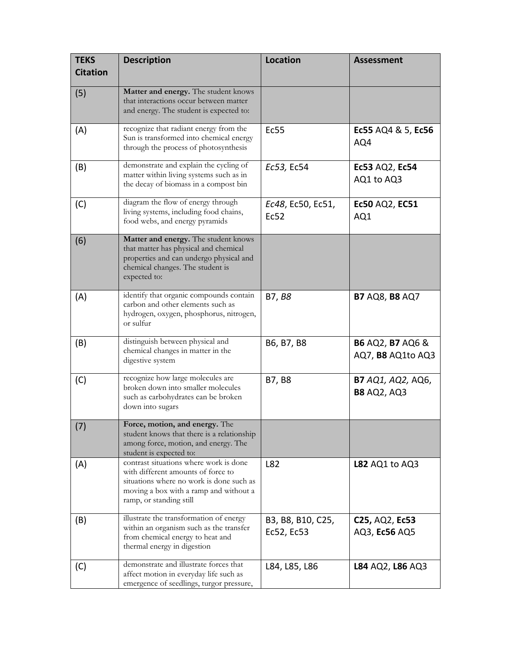| <b>TEKS</b><br><b>Citation</b> | <b>Description</b>                                                                                                                                                                            | <b>Location</b>                 | <b>Assessment</b>                                |
|--------------------------------|-----------------------------------------------------------------------------------------------------------------------------------------------------------------------------------------------|---------------------------------|--------------------------------------------------|
| (5)                            | Matter and energy. The student knows<br>that interactions occur between matter<br>and energy. The student is expected to:                                                                     |                                 |                                                  |
| (A)                            | recognize that radiant energy from the<br>Sun is transformed into chemical energy<br>through the process of photosynthesis                                                                    | Ec55                            | Ec55 AQ4 & 5, Ec56<br>AQ4                        |
| (B)                            | demonstrate and explain the cycling of<br>matter within living systems such as in<br>the decay of biomass in a compost bin                                                                    | Ec53, Ec54                      | Ec53 AQ2, Ec54<br>AQ1 to AQ3                     |
| (C)                            | diagram the flow of energy through<br>living systems, including food chains,<br>food webs, and energy pyramids                                                                                | Ec48, Ec50, Ec51,<br>Ec52       | Ec50 AQ2, EC51<br>AQ1                            |
| (6)                            | Matter and energy. The student knows<br>that matter has physical and chemical<br>properties and can undergo physical and<br>chemical changes. The student is<br>expected to:                  |                                 |                                                  |
| (A)                            | identify that organic compounds contain<br>carbon and other elements such as<br>hydrogen, oxygen, phosphorus, nitrogen,<br>or sulfur                                                          | B7, B8                          | <b>B7 AQ8, B8 AQ7</b>                            |
| (B)                            | distinguish between physical and<br>chemical changes in matter in the<br>digestive system                                                                                                     | B6, B7, B8                      | <b>B6 AQ2, B7 AQ6 &amp;</b><br>AQ7, B8 AQ1to AQ3 |
| (C)                            | recognize how large molecules are<br>broken down into smaller molecules<br>such as carbohydrates can be broken<br>down into sugars                                                            | B7, B8                          | <b>B7</b> AQ1, AQ2, AQ6,<br><b>B8 AQ2, AQ3</b>   |
| (7)                            | Force, motion, and energy. The<br>student knows that there is a relationship<br>among force, motion, and energy. The<br>student is expected to:                                               |                                 |                                                  |
| (A)                            | contrast situations where work is done<br>with different amounts of force to<br>situations where no work is done such as<br>moving a box with a ramp and without a<br>ramp, or standing still | L82                             | <b>L82 AQ1 to AQ3</b>                            |
| (B)                            | illustrate the transformation of energy<br>within an organism such as the transfer<br>from chemical energy to heat and<br>thermal energy in digestion                                         | B3, B8, B10, C25,<br>Ec52, Ec53 | C25, AQ2, Ec53<br>AQ3, Ec56 AQ5                  |
| (C)                            | demonstrate and illustrate forces that<br>affect motion in everyday life such as<br>emergence of seedlings, turgor pressure,                                                                  | L84, L85, L86                   | L84 AQ2, L86 AQ3                                 |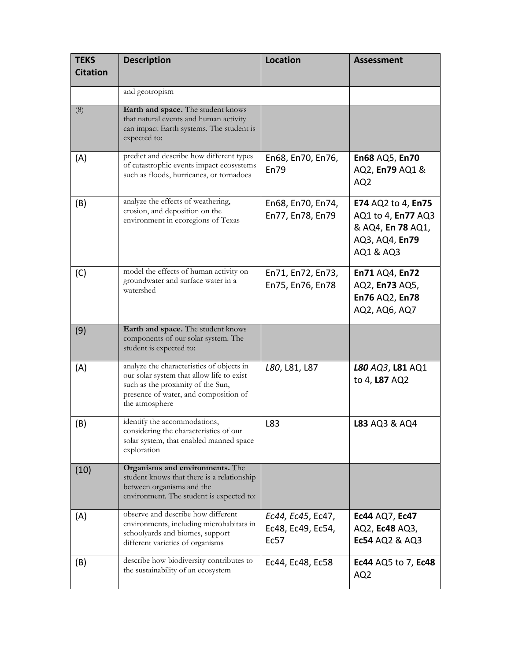| <b>TEKS</b><br><b>Citation</b> | <b>Description</b>                                                                                                                                                                     | <b>Location</b>                                | <b>Assessment</b>                                                                            |
|--------------------------------|----------------------------------------------------------------------------------------------------------------------------------------------------------------------------------------|------------------------------------------------|----------------------------------------------------------------------------------------------|
|                                | and geotropism                                                                                                                                                                         |                                                |                                                                                              |
| (8)                            | Earth and space. The student knows<br>that natural events and human activity<br>can impact Earth systems. The student is<br>expected to:                                               |                                                |                                                                                              |
| (A)                            | predict and describe how different types<br>of catastrophic events impact ecosystems<br>such as floods, hurricanes, or tornadoes                                                       | En68, En70, En76,<br><b>En79</b>               | En68 AQ5, En70<br>AQ2, En79 AQ1 &<br>AQ <sub>2</sub>                                         |
| (B)                            | analyze the effects of weathering,<br>erosion, and deposition on the<br>environment in ecoregions of Texas                                                                             | En68, En70, En74,<br>En77, En78, En79          | E74 AQ2 to 4, En75<br>AQ1 to 4, En77 AQ3<br>& AQ4, En 78 AQ1,<br>AQ3, AQ4, En79<br>AQ1 & AQ3 |
| (C)                            | model the effects of human activity on<br>groundwater and surface water in a<br>watershed                                                                                              | En71, En72, En73,<br>En75, En76, En78          | En71 AQ4, En72<br>AQ2, En73 AQ5,<br>En76 AQ2, En78<br>AQ2, AQ6, AQ7                          |
| (9)                            | Earth and space. The student knows<br>components of our solar system. The<br>student is expected to:                                                                                   |                                                |                                                                                              |
| (A)                            | analyze the characteristics of objects in<br>our solar system that allow life to exist<br>such as the proximity of the Sun,<br>presence of water, and composition of<br>the atmosphere | L80, L81, L87                                  | L80 AQ3, L81 AQ1<br>to 4, L87 AQ2                                                            |
| (B)                            | identify the accommodations,<br>considering the characteristics of our<br>solar system, that enabled manned space<br>exploration                                                       | L83                                            | <b>L83 AQ3 &amp; AQ4</b>                                                                     |
| (10)                           | Organisms and environments. The<br>student knows that there is a relationship<br>between organisms and the<br>environment. The student is expected to:                                 |                                                |                                                                                              |
| (A)                            | observe and describe how different<br>environments, including microhabitats in<br>schoolyards and biomes, support<br>different varieties of organisms                                  | Ec44, Ec45, Ec47,<br>Ec48, Ec49, Ec54,<br>Ec57 | Ec44 AQ7, Ec47<br>AQ2, Ec48 AQ3,<br><b>Ec54 AQ2 &amp; AQ3</b>                                |
| (B)                            | describe how biodiversity contributes to<br>the sustainability of an ecosystem                                                                                                         | Ec44, Ec48, Ec58                               | Ec44 AQ5 to 7, Ec48<br>AQ <sub>2</sub>                                                       |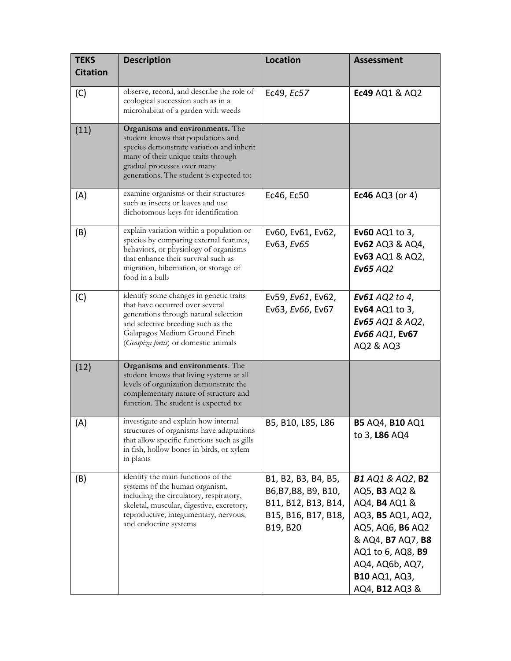| <b>TEKS</b><br><b>Citation</b> | <b>Description</b>                                                                                                                                                                                                                   | <b>Location</b>                                                                                       | <b>Assessment</b>                                                                                                                                                                                                                     |
|--------------------------------|--------------------------------------------------------------------------------------------------------------------------------------------------------------------------------------------------------------------------------------|-------------------------------------------------------------------------------------------------------|---------------------------------------------------------------------------------------------------------------------------------------------------------------------------------------------------------------------------------------|
| (C)                            | observe, record, and describe the role of<br>ecological succession such as in a<br>microhabitat of a garden with weeds                                                                                                               | Ec49, Ec57                                                                                            | Ec49 AQ1 & AQ2                                                                                                                                                                                                                        |
| (11)                           | Organisms and environments. The<br>student knows that populations and<br>species demonstrate variation and inherit<br>many of their unique traits through<br>gradual processes over many<br>generations. The student is expected to: |                                                                                                       |                                                                                                                                                                                                                                       |
| (A)                            | examine organisms or their structures<br>such as insects or leaves and use<br>dichotomous keys for identification                                                                                                                    | Ec46, Ec50                                                                                            | <b>Ec46</b> AQ3 (or 4)                                                                                                                                                                                                                |
| (B)                            | explain variation within a population or<br>species by comparing external features,<br>behaviors, or physiology of organisms<br>that enhance their survival such as<br>migration, hibernation, or storage of<br>food in a bulb       | Ev60, Ev61, Ev62,<br>Ev63, Ev65                                                                       | <b>Ev60</b> AQ1 to 3,<br>Ev62 AQ3 & AQ4,<br>Ev63 AQ1 & AQ2,<br><b>Ev65 AQ2</b>                                                                                                                                                        |
| (C)                            | identify some changes in genetic traits<br>that have occurred over several<br>generations through natural selection<br>and selective breeding such as the<br>Galapagos Medium Ground Finch<br>(Geospiza fortis) or domestic animals  | Ev59, Ev61, Ev62,<br>Ev63, Ev66, Ev67                                                                 | <b>Ev61</b> AQ2 to 4,<br>Ev64 AQ1 to 3,<br>Ev65 AQ1 & AQ2,<br>Ev66 AQ1, Ev67<br>AQ2 & AQ3                                                                                                                                             |
| (12)                           | Organisms and environments. The<br>student knows that living systems at all<br>levels of organization demonstrate the<br>complementary nature of structure and<br>function. The student is expected to:                              |                                                                                                       |                                                                                                                                                                                                                                       |
| (A)                            | investigate and explain how internal<br>structures of organisms have adaptations<br>that allow specific functions such as gills<br>in fish, hollow bones in birds, or xylem<br>in plants                                             | B5, B10, L85, L86                                                                                     | <b>B5 AQ4, B10 AQ1</b><br>to 3, L86 AQ4                                                                                                                                                                                               |
| (B)                            | identify the main functions of the<br>systems of the human organism,<br>including the circulatory, respiratory,<br>skeletal, muscular, digestive, excretory,<br>reproductive, integumentary, nervous,<br>and endocrine systems       | B1, B2, B3, B4, B5,<br>B6, B7, B8, B9, B10,<br>B11, B12, B13, B14,<br>B15, B16, B17, B18,<br>B19, B20 | <b>B1</b> AQ1 & AQ2, <b>B2</b><br>AQ5, <b>B3</b> AQ2 &<br>AQ4, <b>B4</b> AQ1 &<br>AQ3, B5 AQ1, AQ2,<br>AQ5, AQ6, B6 AQ2<br>& AQ4, B7 AQ7, B8<br>AQ1 to 6, AQ8, B9<br>AQ4, AQ6b, AQ7,<br><b>B10 AQ1, AQ3,</b><br>AQ4, <b>B12</b> AQ3 & |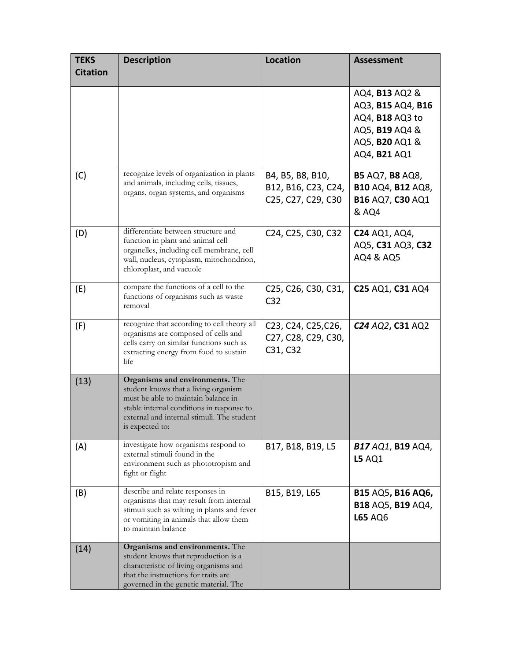| <b>TEKS</b><br><b>Citation</b> | <b>Description</b>                                                                                                                                                                                                           | <b>Location</b>                                                                                            | <b>Assessment</b>                                                                                                                      |
|--------------------------------|------------------------------------------------------------------------------------------------------------------------------------------------------------------------------------------------------------------------------|------------------------------------------------------------------------------------------------------------|----------------------------------------------------------------------------------------------------------------------------------------|
|                                |                                                                                                                                                                                                                              |                                                                                                            | AQ4, <b>B13</b> AQ2 &<br>AQ3, B15 AQ4, B16<br>AQ4, B18 AQ3 to<br>AQ5, <b>B19</b> AQ4 &<br>AQ5, <b>B20</b> AQ1 &<br>AQ4, <b>B21</b> AQ1 |
| (C)                            | recognize levels of organization in plants<br>and animals, including cells, tissues,<br>organs, organ systems, and organisms                                                                                                 | B4, B5, B8, B10,<br>B12, B16, C23, C24,<br>C25, C27, C29, C30                                              | <b>B5 AQ7, B8 AQ8,</b><br>B10 AQ4, B12 AQ8,<br>B16 AQ7, C30 AQ1<br>& AQ4                                                               |
| (D)                            | differentiate between structure and<br>function in plant and animal cell<br>organelles, including cell membrane, cell<br>wall, nucleus, cytoplasm, mitochondrion,<br>chloroplast, and vacuole                                | C24, C25, C30, C32                                                                                         | <b>C24 AQ1, AQ4,</b><br>AQ5, C31 AQ3, C32<br>AQ4 & AQ5                                                                                 |
| (E)                            | compare the functions of a cell to the<br>functions of organisms such as waste<br>removal                                                                                                                                    | C25, C26, C30, C31,<br>C <sub>32</sub>                                                                     | C25 AQ1, C31 AQ4                                                                                                                       |
| (F)                            | recognize that according to cell theory all<br>organisms are composed of cells and<br>cells carry on similar functions such as<br>extracting energy from food to sustain<br>life                                             | C <sub>23</sub> , C <sub>24</sub> , C <sub>25</sub> , C <sub>26</sub> ,<br>C27, C28, C29, C30,<br>C31, C32 | C <sub>24</sub> AQ <sub>2</sub> , C <sub>31</sub> AQ <sub>2</sub>                                                                      |
| (13)                           | Organisms and environments. The<br>student knows that a living organism<br>must be able to maintain balance in<br>stable internal conditions in response to<br>external and internal stimuli. The student<br>is expected to: |                                                                                                            |                                                                                                                                        |
| (A)                            | investigate how organisms respond to<br>external stimuli found in the<br>environment such as phototropism and<br>fight or flight                                                                                             | B17, B18, B19, L5                                                                                          | <b>B17 AQ1, B19 AQ4,</b><br><b>L5 AQ1</b>                                                                                              |
| (B)                            | describe and relate responses in<br>organisms that may result from internal<br>stimuli such as wilting in plants and fever<br>or vomiting in animals that allow them<br>to maintain balance                                  | B15, B19, L65                                                                                              | B15 AQ5, B16 AQ6,<br>B18 AQ5, B19 AQ4,<br>L65 AQ6                                                                                      |
| (14)                           | Organisms and environments. The<br>student knows that reproduction is a<br>characteristic of living organisms and<br>that the instructions for traits are<br>governed in the genetic material. The                           |                                                                                                            |                                                                                                                                        |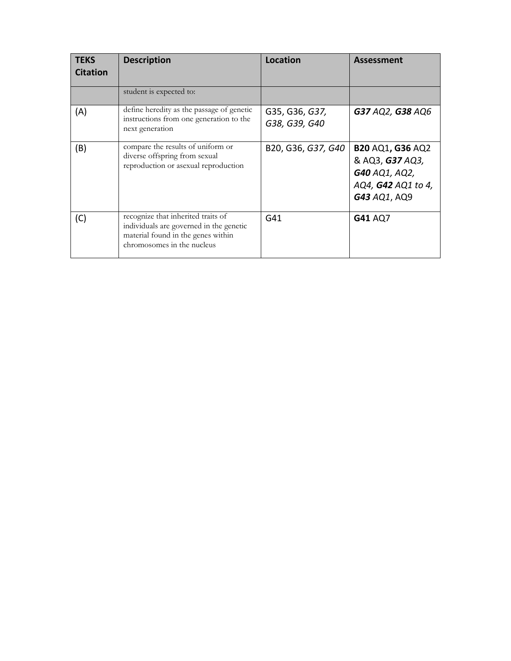| <b>TEKS</b><br><b>Citation</b> | <b>Description</b>                                                                                                                                | <b>Location</b>                 | <b>Assessment</b>                                                                                 |
|--------------------------------|---------------------------------------------------------------------------------------------------------------------------------------------------|---------------------------------|---------------------------------------------------------------------------------------------------|
|                                | student is expected to:                                                                                                                           |                                 |                                                                                                   |
| (A)                            | define heredity as the passage of genetic<br>instructions from one generation to the<br>next generation                                           | G35, G36, G37,<br>G38, G39, G40 | G37 AQ2, G38 AQ6                                                                                  |
| (B)                            | compare the results of uniform or<br>diverse offspring from sexual<br>reproduction or asexual reproduction                                        | B20, G36, G37, G40              | <b>B20 AQ1, G36 AQ2</b><br>& AQ3, G37 AQ3,<br>G40 AQ1, AQ2,<br>AQ4, G42 AQ1 to 4,<br>G43 AQ1, AQ9 |
| (C)                            | recognize that inherited traits of<br>individuals are governed in the genetic<br>material found in the genes within<br>chromosomes in the nucleus | G <sub>41</sub>                 | G41 AQ7                                                                                           |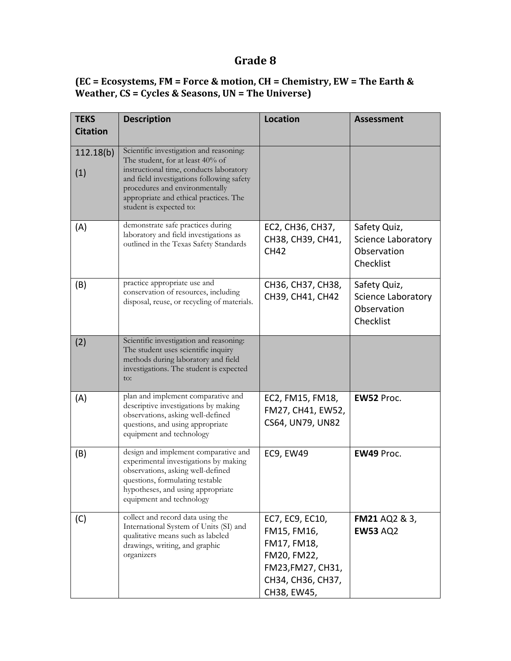## **Grade 8**

#### **(EC = Ecosystems, FM = Force & motion, CH = Chemistry, EW = The Earth & Weather, CS = Cycles & Seasons, UN = The Universe)**

| <b>TEKS</b><br><b>Citation</b> | <b>Description</b>                                                                                                                                                                                                                                                         | <b>Location</b>                                                                                                       | <b>Assessment</b>                                              |
|--------------------------------|----------------------------------------------------------------------------------------------------------------------------------------------------------------------------------------------------------------------------------------------------------------------------|-----------------------------------------------------------------------------------------------------------------------|----------------------------------------------------------------|
| 112.18(b)<br>(1)               | Scientific investigation and reasoning:<br>The student, for at least 40% of<br>instructional time, conducts laboratory<br>and field investigations following safety<br>procedures and environmentally<br>appropriate and ethical practices. The<br>student is expected to: |                                                                                                                       |                                                                |
| (A)                            | demonstrate safe practices during<br>laboratory and field investigations as<br>outlined in the Texas Safety Standards                                                                                                                                                      | EC2, CH36, CH37,<br>CH38, CH39, CH41,<br><b>CH42</b>                                                                  | Safety Quiz,<br>Science Laboratory<br>Observation<br>Checklist |
| (B)                            | practice appropriate use and<br>conservation of resources, including<br>disposal, reuse, or recycling of materials.                                                                                                                                                        | CH36, CH37, CH38,<br>CH39, CH41, CH42                                                                                 | Safety Quiz,<br>Science Laboratory<br>Observation<br>Checklist |
| (2)                            | Scientific investigation and reasoning:<br>The student uses scientific inquiry<br>methods during laboratory and field<br>investigations. The student is expected<br>to:                                                                                                    |                                                                                                                       |                                                                |
| (A)                            | plan and implement comparative and<br>descriptive investigations by making<br>observations, asking well-defined<br>questions, and using appropriate<br>equipment and technology                                                                                            | EC2, FM15, FM18,<br>FM27, CH41, EW52,<br>CS64, UN79, UN82                                                             | EW52 Proc.                                                     |
| (B)                            | design and implement comparative and<br>experimental investigations by making<br>observations, asking well-defined<br>questions, formulating testable<br>hypotheses, and using appropriate<br>equipment and technology                                                     | EC9, EW49                                                                                                             | EW49 Proc.                                                     |
| (C)                            | collect and record data using the<br>International System of Units (SI) and<br>qualitative means such as labeled<br>drawings, writing, and graphic<br>organizers                                                                                                           | EC7, EC9, EC10,<br>FM15, FM16,<br>FM17, FM18,<br>FM20, FM22,<br>FM23, FM27, CH31,<br>CH34, CH36, CH37,<br>CH38, EW45, | <b>FM21 AQ2 &amp; 3,</b><br><b>EW53 AQ2</b>                    |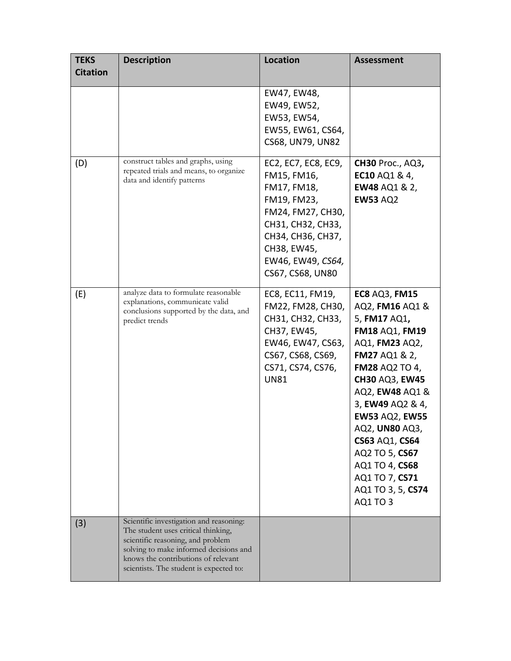| <b>TEKS</b><br><b>Citation</b> | <b>Description</b>                                                                                                                                                                                                                              | <b>Location</b>                                                                                                                                                                         | <b>Assessment</b>                                                                                                                                                                                                                                                                                                                                                                  |
|--------------------------------|-------------------------------------------------------------------------------------------------------------------------------------------------------------------------------------------------------------------------------------------------|-----------------------------------------------------------------------------------------------------------------------------------------------------------------------------------------|------------------------------------------------------------------------------------------------------------------------------------------------------------------------------------------------------------------------------------------------------------------------------------------------------------------------------------------------------------------------------------|
|                                |                                                                                                                                                                                                                                                 | EW47, EW48,<br>EW49, EW52,<br>EW53, EW54,<br>EW55, EW61, CS64,<br>CS68, UN79, UN82                                                                                                      |                                                                                                                                                                                                                                                                                                                                                                                    |
| (D)                            | construct tables and graphs, using<br>repeated trials and means, to organize<br>data and identify patterns                                                                                                                                      | EC2, EC7, EC8, EC9,<br>FM15, FM16,<br>FM17, FM18,<br>FM19, FM23,<br>FM24, FM27, CH30,<br>CH31, CH32, CH33,<br>CH34, CH36, CH37,<br>CH38, EW45,<br>EW46, EW49, CS64,<br>CS67, CS68, UN80 | <b>CH30 Proc., AQ3,</b><br>EC10 AQ1 & 4,<br><b>EW48 AQ1 &amp; 2,</b><br><b>EW53 AQ2</b>                                                                                                                                                                                                                                                                                            |
| (E)                            | analyze data to formulate reasonable<br>explanations, communicate valid<br>conclusions supported by the data, and<br>predict trends                                                                                                             | EC8, EC11, FM19,<br>FM22, FM28, CH30,<br>CH31, CH32, CH33,<br>CH37, EW45,<br>EW46, EW47, CS63,<br>CS67, CS68, CS69,<br>CS71, CS74, CS76,<br><b>UN81</b>                                 | <b>EC8 AQ3, FM15</b><br>AQ2, FM16 AQ1 &<br>5, FM17 AQ1,<br><b>FM18 AQ1, FM19</b><br>AQ1, FM23 AQ2,<br><b>FM27 AQ1 &amp; 2,</b><br><b>FM28 AQ2 TO 4,</b><br><b>CH30 AQ3, EW45</b><br>AQ2, EW48 AQ1 &<br>3, EW49 AQ2 & 4,<br><b>EW53 AQ2, EW55</b><br>AQ2, UN80 AQ3,<br>CS63 AQ1, CS64<br>AQ2 TO 5, CS67<br>AQ1 TO 4, CS68<br>AQ1 TO 7, CS71<br>AQ1 TO 3, 5, CS74<br><b>AQ1 TO 3</b> |
| (3)                            | Scientific investigation and reasoning:<br>The student uses critical thinking,<br>scientific reasoning, and problem<br>solving to make informed decisions and<br>knows the contributions of relevant<br>scientists. The student is expected to: |                                                                                                                                                                                         |                                                                                                                                                                                                                                                                                                                                                                                    |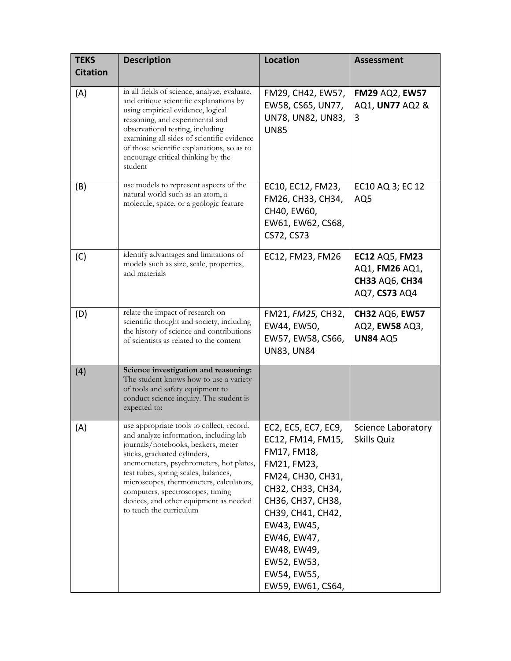| <b>TEKS</b>     | <b>Description</b>                                                                                                                                                                                                                                                                                                                                                                               | <b>Location</b>                                                                                                                                                                                                                                            | <b>Assessment</b>                                                                 |
|-----------------|--------------------------------------------------------------------------------------------------------------------------------------------------------------------------------------------------------------------------------------------------------------------------------------------------------------------------------------------------------------------------------------------------|------------------------------------------------------------------------------------------------------------------------------------------------------------------------------------------------------------------------------------------------------------|-----------------------------------------------------------------------------------|
| <b>Citation</b> |                                                                                                                                                                                                                                                                                                                                                                                                  |                                                                                                                                                                                                                                                            |                                                                                   |
| (A)             | in all fields of science, analyze, evaluate,<br>and critique scientific explanations by<br>using empirical evidence, logical<br>reasoning, and experimental and<br>observational testing, including<br>examining all sides of scientific evidence<br>of those scientific explanations, so as to<br>encourage critical thinking by the<br>student                                                 | FM29, CH42, EW57,<br>EW58, CS65, UN77,<br>UN78, UN82, UN83,<br><b>UN85</b>                                                                                                                                                                                 | <b>FM29 AQ2, EW57</b><br>AQ1, UN77 AQ2 &<br>3                                     |
| (B)             | use models to represent aspects of the<br>natural world such as an atom, a<br>molecule, space, or a geologic feature                                                                                                                                                                                                                                                                             | EC10, EC12, FM23,<br>FM26, CH33, CH34,<br>CH40, EW60,<br>EW61, EW62, CS68,<br>CS72, CS73                                                                                                                                                                   | EC10 AQ 3; EC 12<br>AQ5                                                           |
| (C)             | identify advantages and limitations of<br>models such as size, scale, properties,<br>and materials                                                                                                                                                                                                                                                                                               | EC12, FM23, FM26                                                                                                                                                                                                                                           | <b>EC12 AQ5, FM23</b><br>AQ1, FM26 AQ1,<br><b>CH33 AQ6, CH34</b><br>AQ7, CS73 AQ4 |
| (D)             | relate the impact of research on<br>scientific thought and society, including<br>the history of science and contributions<br>of scientists as related to the content                                                                                                                                                                                                                             | FM21, FM25, CH32,<br>EW44, EW50,<br>EW57, EW58, CS66,<br><b>UN83, UN84</b>                                                                                                                                                                                 | <b>CH32 AQ6, EW57</b><br>AQ2, EW58 AQ3,<br><b>UN84 AQ5</b>                        |
| (4)             | Science investigation and reasoning:<br>The student knows how to use a variety<br>of tools and safety equipment to<br>conduct science inquiry. The student is<br>expected to:                                                                                                                                                                                                                    |                                                                                                                                                                                                                                                            |                                                                                   |
| (A)             | use appropriate tools to collect, record,<br>and analyze information, including lab<br>journals/notebooks, beakers, meter<br>sticks, graduated cylinders,<br>anemometers, psychrometers, hot plates,<br>test tubes, spring scales, balances,<br>microscopes, thermometers, calculators,<br>computers, spectroscopes, timing<br>devices, and other equipment as needed<br>to teach the curriculum | EC2, EC5, EC7, EC9,<br>EC12, FM14, FM15,<br>FM17, FM18,<br>FM21, FM23,<br>FM24, CH30, CH31,<br>CH32, CH33, CH34,<br>CH36, CH37, CH38,<br>CH39, CH41, CH42,<br>EW43, EW45,<br>EW46, EW47,<br>EW48, EW49,<br>EW52, EW53,<br>EW54, EW55,<br>EW59, EW61, CS64, | Science Laboratory<br>Skills Quiz                                                 |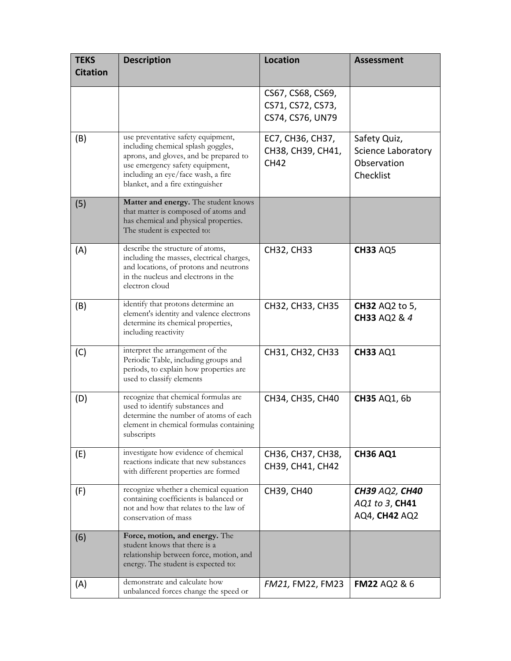| <b>TEKS</b><br><b>Citation</b> | <b>Description</b>                                                                                                                                                                                                              | <b>Location</b>                                            | <b>Assessment</b>                                                     |
|--------------------------------|---------------------------------------------------------------------------------------------------------------------------------------------------------------------------------------------------------------------------------|------------------------------------------------------------|-----------------------------------------------------------------------|
|                                |                                                                                                                                                                                                                                 | CS67, CS68, CS69,<br>CS71, CS72, CS73,<br>CS74, CS76, UN79 |                                                                       |
| (B)                            | use preventative safety equipment,<br>including chemical splash goggles,<br>aprons, and gloves, and be prepared to<br>use emergency safety equipment,<br>including an eye/face wash, a fire<br>blanket, and a fire extinguisher | EC7, CH36, CH37,<br>CH38, CH39, CH41,<br><b>CH42</b>       | Safety Quiz,<br><b>Science Laboratory</b><br>Observation<br>Checklist |
| (5)                            | Matter and energy. The student knows<br>that matter is composed of atoms and<br>has chemical and physical properties.<br>The student is expected to:                                                                            |                                                            |                                                                       |
| (A)                            | describe the structure of atoms,<br>including the masses, electrical charges,<br>and locations, of protons and neutrons<br>in the nucleus and electrons in the<br>electron cloud                                                | CH32, CH33                                                 | <b>CH33 AQ5</b>                                                       |
| (B)                            | identify that protons determine an<br>element's identity and valence electrons<br>determine its chemical properties,<br>including reactivity                                                                                    | CH32, CH33, CH35                                           | <b>CH32 AQ2 to 5,</b><br>CH33 AQ2 & 4                                 |
| (C)                            | interpret the arrangement of the<br>Periodic Table, including groups and<br>periods, to explain how properties are<br>used to classify elements                                                                                 | CH31, CH32, CH33                                           | <b>CH33 AQ1</b>                                                       |
| (D)                            | recognize that chemical formulas are<br>used to identify substances and<br>determine the number of atoms of each<br>element in chemical formulas containing<br>subscripts                                                       | CH34, CH35, CH40                                           | <b>CH35 AQ1, 6b</b>                                                   |
| (E)                            | investigate how evidence of chemical<br>reactions indicate that new substances<br>with different properties are formed                                                                                                          | CH36, CH37, CH38,<br>CH39, CH41, CH42                      | <b>CH36 AQ1</b>                                                       |
| (F)                            | recognize whether a chemical equation<br>containing coefficients is balanced or<br>not and how that relates to the law of<br>conservation of mass                                                                               | CH39, CH40                                                 | <b>CH39 AQ2, CH40</b><br>AQ1 to 3, CH41<br>AQ4, CH42 AQ2              |
| (6)                            | Force, motion, and energy. The<br>student knows that there is a<br>relationship between force, motion, and<br>energy. The student is expected to:                                                                               |                                                            |                                                                       |
| (A)                            | demonstrate and calculate how<br>unbalanced forces change the speed or                                                                                                                                                          | FM21, FM22, FM23                                           | <b>FM22 AQ2 &amp; 6</b>                                               |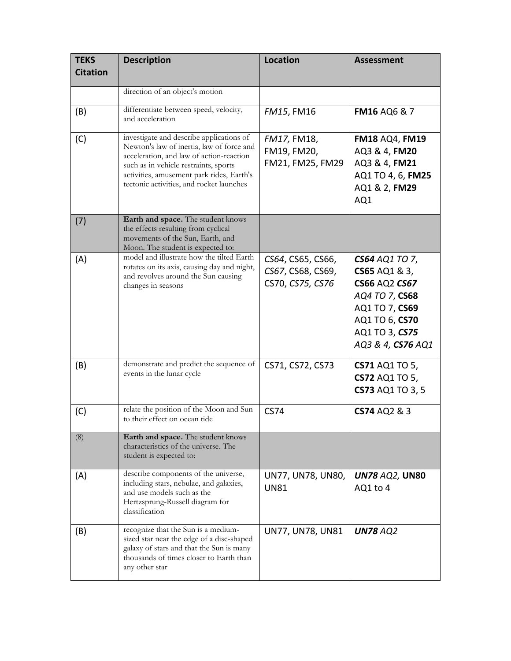| <b>TEKS</b><br><b>Citation</b> | <b>Description</b>                                                                                                                                                                                                                                                  | <b>Location</b>                                            | <b>Assessment</b>                                                                                                                                           |
|--------------------------------|---------------------------------------------------------------------------------------------------------------------------------------------------------------------------------------------------------------------------------------------------------------------|------------------------------------------------------------|-------------------------------------------------------------------------------------------------------------------------------------------------------------|
|                                | direction of an object's motion                                                                                                                                                                                                                                     |                                                            |                                                                                                                                                             |
| (B)                            | differentiate between speed, velocity,<br>and acceleration                                                                                                                                                                                                          | FM15, FM16                                                 | <b>FM16 AQ6 &amp; 7</b>                                                                                                                                     |
| (C)                            | investigate and describe applications of<br>Newton's law of inertia, law of force and<br>acceleration, and law of action-reaction<br>such as in vehicle restraints, sports<br>activities, amusement park rides, Earth's<br>tectonic activities, and rocket launches | FM17, FM18,<br>FM19, FM20,<br>FM21, FM25, FM29             | <b>FM18 AQ4, FM19</b><br>AQ3 & 4, FM20<br>AQ3 & 4, FM21<br>AQ1 TO 4, 6, FM25<br>AQ1 & 2, FM29<br>AQ1                                                        |
| (7)                            | Earth and space. The student knows<br>the effects resulting from cyclical<br>movements of the Sun, Earth, and<br>Moon. The student is expected to:                                                                                                                  |                                                            |                                                                                                                                                             |
| (A)                            | model and illustrate how the tilted Earth<br>rotates on its axis, causing day and night,<br>and revolves around the Sun causing<br>changes in seasons                                                                                                               | CS64, CS65, CS66,<br>CS67, CS68, CS69,<br>CS70, CS75, CS76 | <b>CS64 AQ1 TO 7,</b><br>CS65 AQ1 & 3,<br><b>CS66 AQ2 CS67</b><br>AQ4 TO 7, CS68<br>AQ1 TO 7, CS69<br>AQ1 TO 6, CS70<br>AQ1 TO 3, CS75<br>AQ3 & 4, CS76 AQ1 |
| (B)                            | demonstrate and predict the sequence of<br>events in the lunar cycle                                                                                                                                                                                                | CS71, CS72, CS73                                           | <b>CS71 AQ1 TO 5,</b><br>CS72 AQ1 TO 5,<br>CS73 AQ1 TO 3, 5                                                                                                 |
| (C)                            | relate the position of the Moon and Sun<br>to their effect on ocean tide                                                                                                                                                                                            | <b>CS74</b>                                                | CS74 AQ2 & 3                                                                                                                                                |
| (8)                            | Earth and space. The student knows<br>characteristics of the universe. The<br>student is expected to:                                                                                                                                                               |                                                            |                                                                                                                                                             |
| (A)                            | describe components of the universe,<br>including stars, nebulae, and galaxies,<br>and use models such as the<br>Hertzsprung-Russell diagram for<br>classification                                                                                                  | UN77, UN78, UN80,<br>UN81                                  | <b>UN78 AQ2, UN80</b><br>AQ1 to 4                                                                                                                           |
| (B)                            | recognize that the Sun is a medium-<br>sized star near the edge of a disc-shaped<br>galaxy of stars and that the Sun is many<br>thousands of times closer to Earth than<br>any other star                                                                           | UN77, UN78, UN81                                           | <b>UN78 AQ2</b>                                                                                                                                             |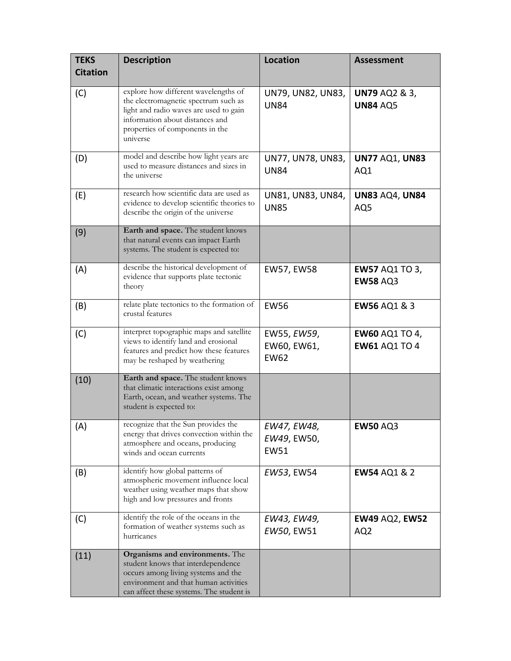| <b>TEKS</b><br><b>Citation</b> | <b>Description</b>                                                                                                                                                                                       | <b>Location</b>                           | <b>Assessment</b>                             |
|--------------------------------|----------------------------------------------------------------------------------------------------------------------------------------------------------------------------------------------------------|-------------------------------------------|-----------------------------------------------|
| (C)                            | explore how different wavelengths of<br>the electromagnetic spectrum such as<br>light and radio waves are used to gain<br>information about distances and<br>properties of components in the<br>universe | UN79, UN82, UN83,<br><b>UN84</b>          | <b>UN79 AQ2 &amp; 3,</b><br><b>UN84 AQ5</b>   |
| (D)                            | model and describe how light years are<br>used to measure distances and sizes in<br>the universe                                                                                                         | UN77, UN78, UN83,<br><b>UN84</b>          | <b>UN77 AQ1, UN83</b><br>AQ1                  |
| (E)                            | research how scientific data are used as<br>evidence to develop scientific theories to<br>describe the origin of the universe                                                                            | UN81, UN83, UN84,<br><b>UN85</b>          | <b>UN83 AQ4, UN84</b><br>AQ5                  |
| (9)                            | Earth and space. The student knows<br>that natural events can impact Earth<br>systems. The student is expected to:                                                                                       |                                           |                                               |
| (A)                            | describe the historical development of<br>evidence that supports plate tectonic<br>theory                                                                                                                | <b>EW57, EW58</b>                         | <b>EW57 AQ1 TO 3,</b><br><b>EW58 AQ3</b>      |
| (B)                            | relate plate tectonics to the formation of<br>crustal features                                                                                                                                           | <b>EW56</b>                               | <b>EW56 AQ1 &amp; 3</b>                       |
| (C)                            | interpret topographic maps and satellite<br>views to identify land and erosional<br>features and predict how these features<br>may be reshaped by weathering                                             | EW55, EW59,<br>EW60, EW61,<br><b>EW62</b> | <b>EW60 AQ1 TO 4,</b><br><b>EW61 AQ1 TO 4</b> |
| (10)                           | Earth and space. The student knows<br>that climatic interactions exist among<br>Earth, ocean, and weather systems. The<br>student is expected to:                                                        |                                           |                                               |
| (A)                            | recognize that the Sun provides the<br>energy that drives convection within the<br>atmosphere and oceans, producing<br>winds and ocean currents                                                          | EW47, EW48,<br>EW49, EW50,<br><b>EW51</b> | <b>EW50 AQ3</b>                               |
| (B)                            | identify how global patterns of<br>atmospheric movement influence local<br>weather using weather maps that show<br>high and low pressures and fronts                                                     | EW53, EW54                                | <b>EW54 AQ1 &amp; 2</b>                       |
| (C)                            | identify the role of the oceans in the<br>formation of weather systems such as<br>hurricanes                                                                                                             | EW43, EW49,<br>EW50, EW51                 | <b>EW49 AQ2, EW52</b><br>AQ <sub>2</sub>      |
| (11)                           | Organisms and environments. The<br>student knows that interdependence<br>occurs among living systems and the<br>environment and that human activities<br>can affect these systems. The student is        |                                           |                                               |